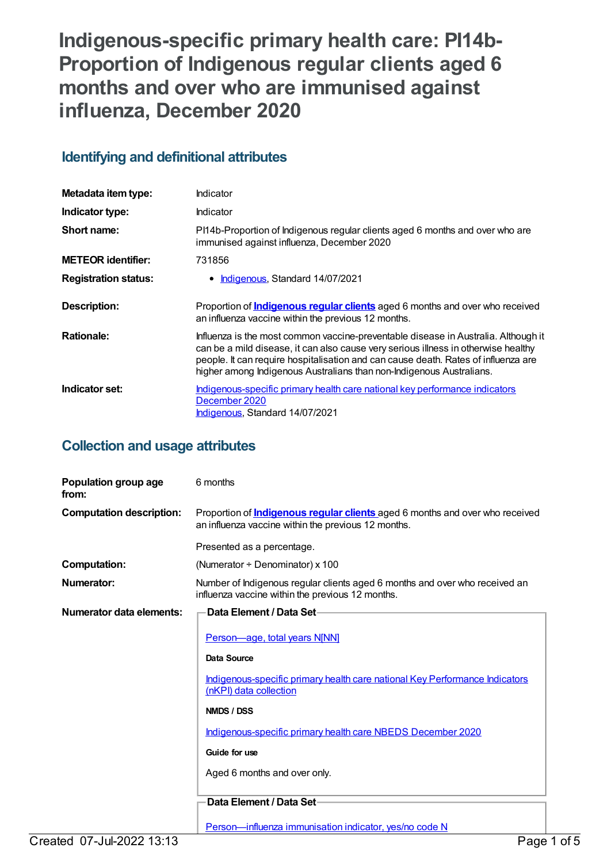# **Indigenous-specific primary health care: PI14b-Proportion of Indigenous regular clients aged 6 months and over who are immunised against influenza, December 2020**

## **Identifying and definitional attributes**

| Metadata item type:         | Indicator                                                                                                                                                                                                                                                                                                                              |
|-----------------------------|----------------------------------------------------------------------------------------------------------------------------------------------------------------------------------------------------------------------------------------------------------------------------------------------------------------------------------------|
| Indicator type:             | Indicator                                                                                                                                                                                                                                                                                                                              |
| Short name:                 | PI14b-Proportion of Indigenous regular clients aged 6 months and over who are<br>immunised against influenza, December 2020                                                                                                                                                                                                            |
| <b>METEOR identifier:</b>   | 731856                                                                                                                                                                                                                                                                                                                                 |
| <b>Registration status:</b> | • Indigenous, Standard 14/07/2021                                                                                                                                                                                                                                                                                                      |
| <b>Description:</b>         | Proportion of <b>Indigenous regular clients</b> aged 6 months and over who received<br>an influenza vaccine within the previous 12 months.                                                                                                                                                                                             |
| <b>Rationale:</b>           | Influenza is the most common vaccine-preventable disease in Australia. Although it<br>can be a mild disease, it can also cause very serious illness in otherwise healthy<br>people. It can require hospitalisation and can cause death. Rates of influenza are<br>higher among Indigenous Australians than non-Indigenous Australians. |
| Indicator set:              | Indigenous-specific primary health care national key performance indicators<br>December 2020<br>Indigenous, Standard 14/07/2021                                                                                                                                                                                                        |

## **Collection and usage attributes**

| Population group age<br>from:   | 6 months                                                                                                                                   |
|---------------------------------|--------------------------------------------------------------------------------------------------------------------------------------------|
| <b>Computation description:</b> | Proportion of <b>Indigenous regular clients</b> aged 6 months and over who received<br>an influenza vaccine within the previous 12 months. |
|                                 | Presented as a percentage.                                                                                                                 |
| <b>Computation:</b>             | (Numerator $\div$ Denominator) x 100                                                                                                       |
| Numerator:                      | Number of Indigenous regular clients aged 6 months and over who received an<br>influenza vaccine within the previous 12 months.            |
| Numerator data elements:        | Data Element / Data Set-                                                                                                                   |
|                                 | Person-age, total years N[NN]                                                                                                              |
|                                 | Data Source                                                                                                                                |
|                                 | Indigenous-specific primary health care national Key Performance Indicators<br>(nKPI) data collection                                      |
|                                 | NMDS / DSS                                                                                                                                 |
|                                 | Indigenous-specific primary health care NBEDS December 2020                                                                                |
|                                 | Guide for use                                                                                                                              |
|                                 | Aged 6 months and over only.                                                                                                               |
|                                 | Data Element / Data Set-                                                                                                                   |
|                                 | Person-influenza immunisation indicator, yes/no code N                                                                                     |
| Created 07-Jul-2022 13:13       | Page 1 of 5                                                                                                                                |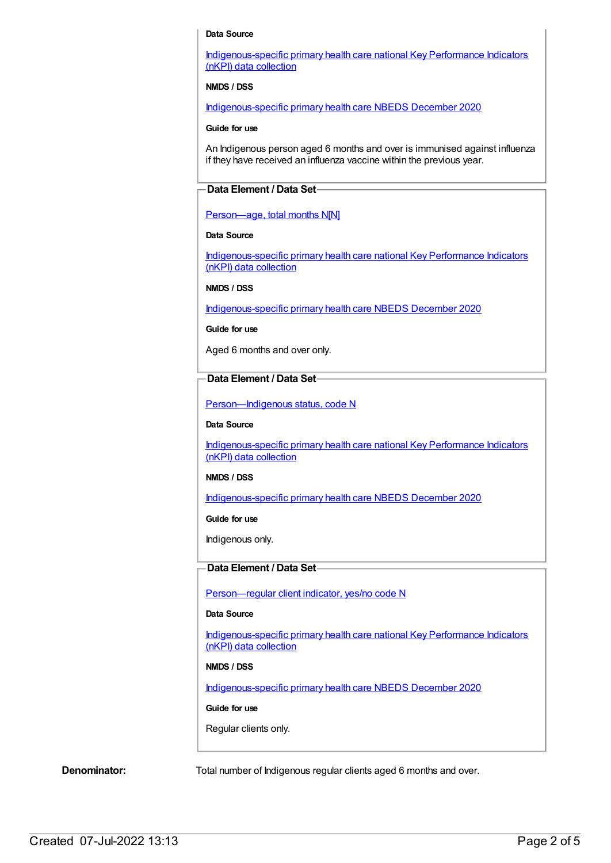#### **Data Source**

[Indigenous-specific](https://meteor.aihw.gov.au/content/737914) primary health care national Key Performance Indicators (nKPI) data collection

#### **NMDS / DSS**

[Indigenous-specific](https://meteor.aihw.gov.au/content/738532) primary health care NBEDS December 2020

#### **Guide for use**

An Indigenous person aged 6 months and over is immunised against influenza if they have received an influenza vaccine within the previous year.

#### **Data Element / Data Set**

#### Person-age, total months N[N]

#### **Data Source**

[Indigenous-specific](https://meteor.aihw.gov.au/content/737914) primary health care national Key Performance Indicators (nKPI) data collection

#### **NMDS / DSS**

[Indigenous-specific](https://meteor.aihw.gov.au/content/738532) primary health care NBEDS December 2020

#### **Guide for use**

Aged 6 months and over only.

#### **Data Element / Data Set**

Person-Indigenous status, code N

#### **Data Source**

[Indigenous-specific](https://meteor.aihw.gov.au/content/737914) primary health care national Key Performance Indicators (nKPI) data collection

#### **NMDS / DSS**

[Indigenous-specific](https://meteor.aihw.gov.au/content/738532) primary health care NBEDS December 2020

**Guide for use**

Indigenous only.

#### **Data Element / Data Set**

[Person—regular](https://meteor.aihw.gov.au/content/686291) client indicator, yes/no code N

#### **Data Source**

[Indigenous-specific](https://meteor.aihw.gov.au/content/737914) primary health care national Key Performance Indicators (nKPI) data collection

#### **NMDS / DSS**

[Indigenous-specific](https://meteor.aihw.gov.au/content/738532) primary health care NBEDS December 2020

#### **Guide for use**

Regular clients only.

**Denominator:** Total number of Indigenous regular clients aged 6 months and over.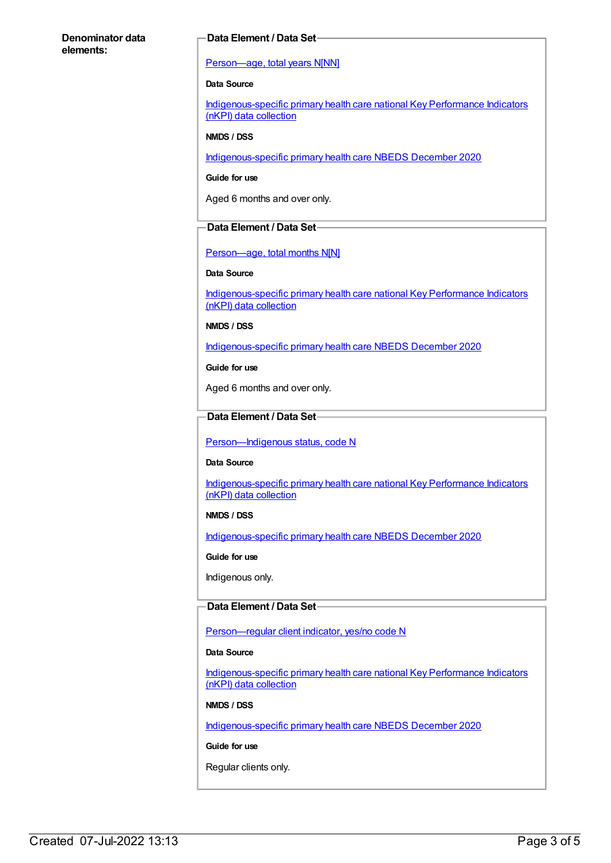#### **Denominator data elements:**

#### **Data Element / Data Set**

#### [Person—age,](https://meteor.aihw.gov.au/content/303794) total years N[NN]

#### **Data Source**

[Indigenous-specific](https://meteor.aihw.gov.au/content/737914) primary health care national Key Performance Indicators (nKPI) data collection

#### **NMDS / DSS**

[Indigenous-specific](https://meteor.aihw.gov.au/content/738532) primary health care NBEDS December 2020

**Guide for use**

Aged 6 months and over only.

#### **Data Element / Data Set**

[Person—age,](https://meteor.aihw.gov.au/content/538047) total months N[N]

#### **Data Source**

[Indigenous-specific](https://meteor.aihw.gov.au/content/737914) primary health care national Key Performance Indicators (nKPI) data collection

**NMDS / DSS**

[Indigenous-specific](https://meteor.aihw.gov.au/content/738532) primary health care NBEDS December 2020

**Guide for use**

Aged 6 months and over only.

#### **Data Element / Data Set**

Person-Indigenous status, code N

#### **Data Source**

[Indigenous-specific](https://meteor.aihw.gov.au/content/737914) primary health care national Key Performance Indicators (nKPI) data collection

#### **NMDS / DSS**

[Indigenous-specific](https://meteor.aihw.gov.au/content/738532) primary health care NBEDS December 2020

**Guide for use**

Indigenous only.

#### **Data Element / Data Set**

[Person—regular](https://meteor.aihw.gov.au/content/686291) client indicator, yes/no code N

#### **Data Source**

[Indigenous-specific](https://meteor.aihw.gov.au/content/737914) primary health care national Key Performance Indicators (nKPI) data collection

#### **NMDS / DSS**

[Indigenous-specific](https://meteor.aihw.gov.au/content/738532) primary health care NBEDS December 2020

#### **Guide for use**

Regular clients only.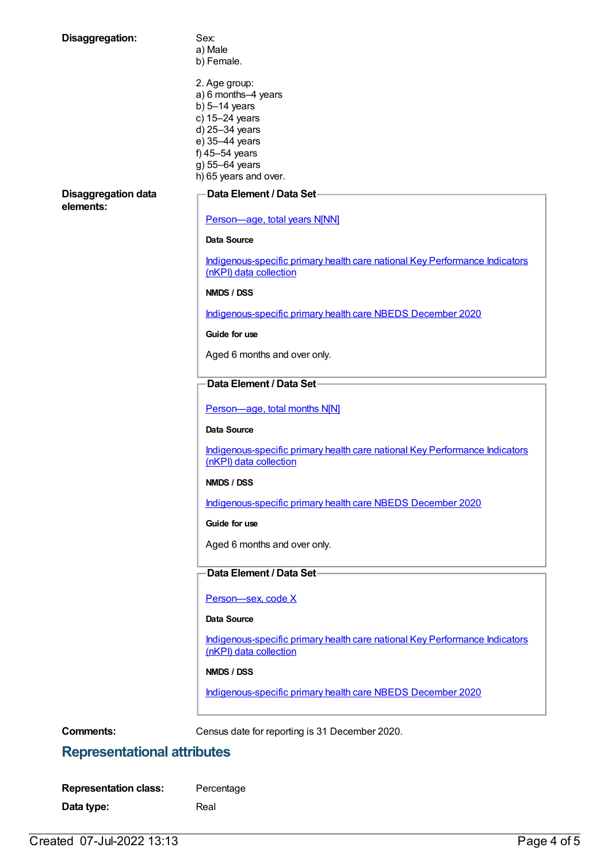| Disaggregation:                         | Sex:                                                                                                  |
|-----------------------------------------|-------------------------------------------------------------------------------------------------------|
|                                         | a) Male                                                                                               |
|                                         | b) Female.                                                                                            |
|                                         | 2. Age group:                                                                                         |
|                                         | a) 6 months-4 years                                                                                   |
|                                         | b) $5-14$ years                                                                                       |
|                                         | c) 15-24 years                                                                                        |
|                                         | d) 25-34 years<br>e) 35-44 years                                                                      |
|                                         | f) $45-54$ years                                                                                      |
|                                         | g) 55-64 years                                                                                        |
|                                         | h) 65 years and over.                                                                                 |
| <b>Disaggregation data</b><br>elements: | Data Element / Data Set                                                                               |
|                                         | Person-age, total years N[NN]                                                                         |
|                                         | <b>Data Source</b>                                                                                    |
|                                         | Indigenous-specific primary health care national Key Performance Indicators<br>(nKPI) data collection |
|                                         | NMDS / DSS                                                                                            |
|                                         | Indigenous-specific primary health care NBEDS December 2020                                           |
|                                         | Guide for use                                                                                         |
|                                         | Aged 6 months and over only.                                                                          |
|                                         | Data Element / Data Set-                                                                              |
|                                         |                                                                                                       |
|                                         | Person-age, total months N[N]                                                                         |
|                                         | Data Source                                                                                           |
|                                         | Indigenous-specific primary health care national Key Performance Indicators<br>(nKPI) data collection |
|                                         | NMDS / DSS                                                                                            |
|                                         | Indigenous-specific primary health care NBEDS December 2020                                           |
|                                         | Guide for use                                                                                         |
|                                         | Aged 6 months and over only.                                                                          |
|                                         | Data Element / Data Set-                                                                              |
|                                         | Person-sex, code X                                                                                    |
|                                         | Data Source                                                                                           |
|                                         | Indigenous-specific primary health care national Key Performance Indicators<br>(nKPI) data collection |
|                                         | NMDS / DSS                                                                                            |
|                                         | Indigenous-specific primary health care NBEDS December 2020                                           |
|                                         |                                                                                                       |
| <b>Comments:</b>                        | Census date for reporting is 31 December 2020.                                                        |

# **Representational attributes**

| <b>Representation class:</b> | Percentage |
|------------------------------|------------|
| Data type:                   | Real       |